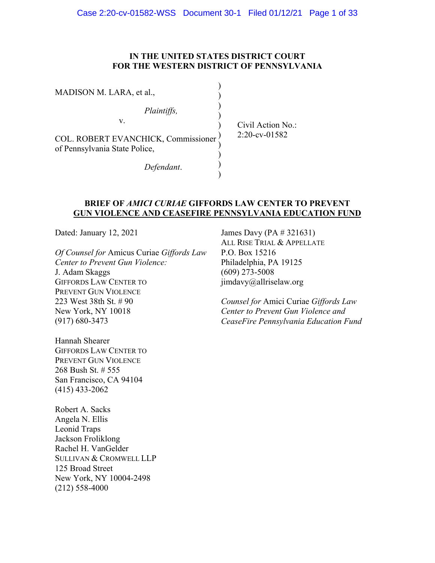## **IN THE UNITED STATES DISTRICT COURT FOR THE WESTERN DISTRICT OF PENNSYLVANIA**

| MADISON M. LARA, et al.,                                             |                    |
|----------------------------------------------------------------------|--------------------|
| Plaintiffs,                                                          |                    |
| v.                                                                   | Civil Action $No.$ |
| COL. ROBERT EVANCHICK, Commissioner<br>of Pennsylvania State Police, | $2:20$ -cv-01582   |
| Defendant.                                                           |                    |

## **BRIEF OF** *AMICI CURIAE* **GIFFORDS LAW CENTER TO PREVENT GUN VIOLENCE AND CEASEFIRE PENNSYLVANIA EDUCATION FUND**

Dated: January 12, 2021

*Of Counsel for* Amicus Curiae *Giffords Law Center to Prevent Gun Violence:* 

J. Adam Skaggs GIFFORDS LAW CENTER TO PREVENT GUN VIOLENCE 223 West 38th St. # 90 New York, NY 10018 (917) 680-3473

Hannah Shearer GIFFORDS LAW CENTER TO PREVENT GUN VIOLENCE 268 Bush St. # 555 San Francisco, CA 94104 (415) 433-2062

Robert A. Sacks Angela N. Ellis Leonid Traps Jackson Froliklong Rachel H. VanGelder SULLIVAN & CROMWELL LLP 125 Broad Street New York, NY 10004-2498 (212) 558-4000

James Davy (PA # 321631) ALL RISE TRIAL & APPELLATE P.O. Box 15216 Philadelphia, PA 19125 (609) 273-5008 jimdavy@allriselaw.org

*Counsel for* Amici Curiae *Giffords Law Center to Prevent Gun Violence and CeaseFire Pennsylvania Education Fund*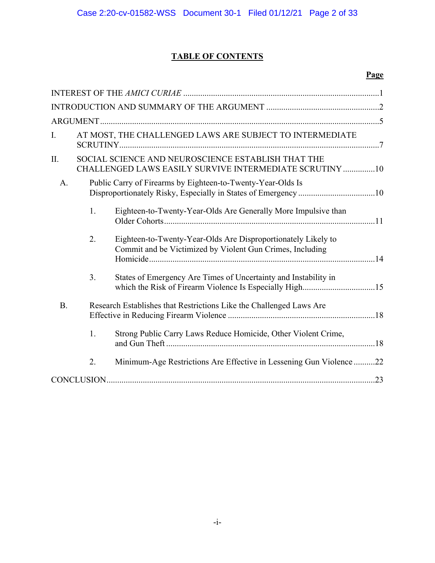## **TABLE OF CONTENTS**

## **Page**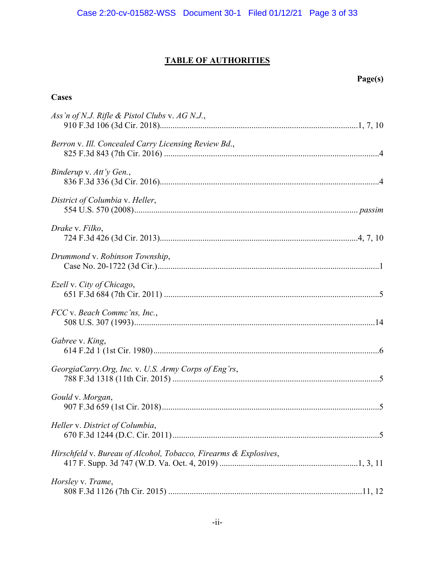## **TABLE OF AUTHORITIES**

## **Cases**

| Ass'n of N.J. Rifle & Pistol Clubs v. $AG N.J.,$                 |
|------------------------------------------------------------------|
| Berron v. Ill. Concealed Carry Licensing Review Bd.,             |
| Binderup v. Att'y Gen.,                                          |
| District of Columbia v. Heller,                                  |
| Drake v. Filko,                                                  |
| Drummond v. Robinson Township,                                   |
| Ezell v. City of Chicago,                                        |
| FCC v. Beach Commc'ns, Inc.,                                     |
| Gabree v. King,                                                  |
| GeorgiaCarry.Org, Inc. v. U.S. Army Corps of Eng'rs,             |
| Gould v. Morgan,                                                 |
| Heller v. District of Columbia,                                  |
| Hirschfeld v. Bureau of Alcohol, Tobacco, Firearms & Explosives, |
| Horsley v. Trame,                                                |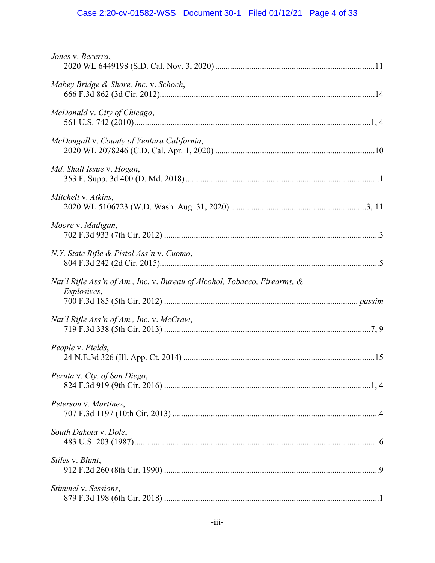# Case 2:20-cv-01582-WSS Document 30-1 Filed 01/12/21 Page 4 of 33

| Jones v. Becerra,                                                                               |
|-------------------------------------------------------------------------------------------------|
| Mabey Bridge & Shore, Inc. v. Schoch,                                                           |
| McDonald v. City of Chicago,                                                                    |
| McDougall v. County of Ventura California,                                                      |
| Md. Shall Issue v. Hogan,                                                                       |
| Mitchell v. Atkins,                                                                             |
| Moore v. Madigan,                                                                               |
| N.Y. State Rifle & Pistol Ass'n v. Cuomo,                                                       |
| Nat'l Rifle Ass'n of Am., Inc. v. Bureau of Alcohol, Tobacco, Firearms, &<br><i>Explosives,</i> |
| Nat'l Rifle Ass'n of Am., Inc. v. McCraw,                                                       |
| People v. Fields,                                                                               |
| Peruta v. Cty. of San Diego,                                                                    |
| Peterson v. Martinez,                                                                           |
| South Dakota v. Dole,                                                                           |
| Stiles v. Blunt,                                                                                |
| Stimmel v. Sessions,                                                                            |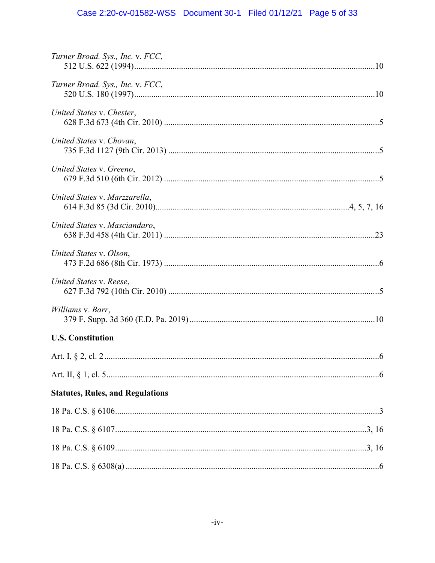# Case 2:20-cv-01582-WSS Document 30-1 Filed 01/12/21 Page 5 of 33

| Turner Broad. Sys., Inc. v. FCC,        |
|-----------------------------------------|
| Turner Broad. Sys., Inc. v. FCC,        |
| United States v. Chester,               |
| United States v. Chovan,                |
| United States v. Greeno,                |
| United States v. Marzzarella,           |
| United States v. Masciandaro,           |
| United States v. Olson,                 |
| United States v. Reese,                 |
| Williams v. Barr,                       |
| <b>U.S. Constitution</b>                |
|                                         |
|                                         |
| <b>Statutes, Rules, and Regulations</b> |
|                                         |
|                                         |
|                                         |
|                                         |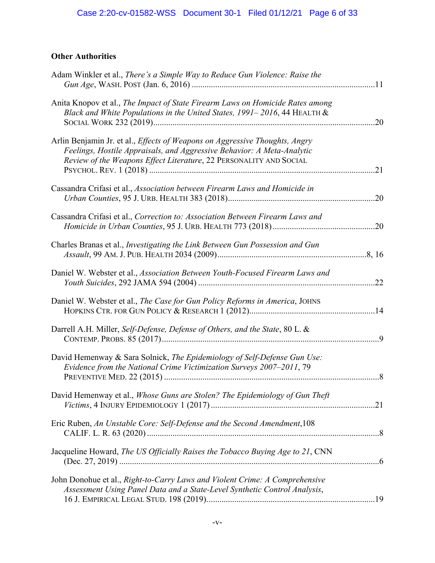## **Other Authorities**

| Adam Winkler et al., There's a Simple Way to Reduce Gun Violence: Raise the                                                                                                                                                 |     |
|-----------------------------------------------------------------------------------------------------------------------------------------------------------------------------------------------------------------------------|-----|
| Anita Knopov et al., The Impact of State Firearm Laws on Homicide Rates among<br>Black and White Populations in the United States, 1991–2016, 44 HEALTH &                                                                   |     |
| Arlin Benjamin Jr. et al., Effects of Weapons on Aggressive Thoughts, Angry<br>Feelings, Hostile Appraisals, and Aggressive Behavior: A Meta-Analytic<br>Review of the Weapons Effect Literature, 22 PERSONALITY AND SOCIAL | .21 |
| Cassandra Crifasi et al., Association between Firearm Laws and Homicide in                                                                                                                                                  | .20 |
| Cassandra Crifasi et al., Correction to: Association Between Firearm Laws and                                                                                                                                               | .20 |
| Charles Branas et al., Investigating the Link Between Gun Possession and Gun                                                                                                                                                |     |
| Daniel W. Webster et al., Association Between Youth-Focused Firearm Laws and                                                                                                                                                |     |
| Daniel W. Webster et al., The Case for Gun Policy Reforms in America, JOHNS                                                                                                                                                 |     |
| Darrell A.H. Miller, Self-Defense, Defense of Others, and the State, 80 L. &                                                                                                                                                |     |
| David Hemenway & Sara Solnick, The Epidemiology of Self-Defense Gun Use:<br>Evidence from the National Crime Victimization Surveys 2007-2011, 79                                                                            |     |
| David Hemenway et al., Whose Guns are Stolen? The Epidemiology of Gun Theft                                                                                                                                                 |     |
| Eric Ruben, An Unstable Core: Self-Defense and the Second Amendment, 108                                                                                                                                                    |     |
| Jacqueline Howard, The US Officially Raises the Tobacco Buying Age to 21, CNN                                                                                                                                               |     |
| John Donohue et al., Right-to-Carry Laws and Violent Crime: A Comprehensive<br>Assessment Using Panel Data and a State-Level Synthetic Control Analysis,                                                                    |     |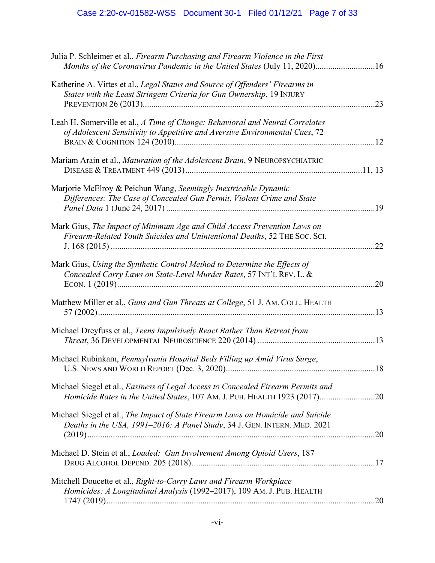# Case 2:20-cv-01582-WSS Document 30-1 Filed 01/12/21 Page 7 of 33

| Julia P. Schleimer et al., Firearm Purchasing and Firearm Violence in the First<br>Months of the Coronavirus Pandemic in the United States (July 11, 2020)16  |
|---------------------------------------------------------------------------------------------------------------------------------------------------------------|
| Katherine A. Vittes et al., Legal Status and Source of Offenders' Firearms in<br>States with the Least Stringent Criteria for Gun Ownership, 19 INJURY<br>.23 |
| Leah H. Somerville et al., A Time of Change: Behavioral and Neural Correlates<br>of Adolescent Sensitivity to Appetitive and Aversive Environmental Cues, 72  |
| Mariam Arain et al., Maturation of the Adolescent Brain, 9 NEUROPSYCHIATRIC                                                                                   |
| Marjorie McElroy & Peichun Wang, Seemingly Inextricable Dynamic<br>Differences: The Case of Concealed Gun Permit, Violent Crime and State                     |
| Mark Gius, The Impact of Minimum Age and Child Access Prevention Laws on<br>Firearm-Related Youth Suicides and Unintentional Deaths, 52 THE Soc. Sci.<br>.22  |
| Mark Gius, Using the Synthetic Control Method to Determine the Effects of<br>Concealed Carry Laws on State-Level Murder Rates, 57 INT'L REV. L. &<br>.20      |
| Matthew Miller et al., Guns and Gun Threats at College, 51 J. AM. COLL. HEALTH                                                                                |
| Michael Dreyfuss et al., Teens Impulsively React Rather Than Retreat from                                                                                     |
| Michael Rubinkam, Pennsylvania Hospital Beds Filling up Amid Virus Surge,                                                                                     |
| Michael Siegel et al., Easiness of Legal Access to Concealed Firearm Permits and<br>Homicide Rates in the United States, 107 AM. J. PUB. HEALTH 1923 (2017)20 |
| Michael Siegel et al., The Impact of State Firearm Laws on Homicide and Suicide<br>Deaths in the USA, 1991-2016: A Panel Study, 34 J. GEN. INTERN. MED. 2021  |
| Michael D. Stein et al., <i>Loaded: Gun Involvement Among Opioid Users</i> , 187                                                                              |
| Mitchell Doucette et al., Right-to-Carry Laws and Firearm Workplace<br>Homicides: A Longitudinal Analysis (1992-2017), 109 AM. J. PUB. HEALTH                 |
|                                                                                                                                                               |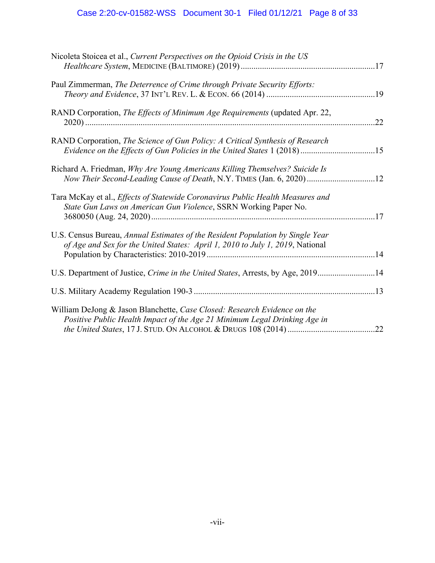# Case 2:20-cv-01582-WSS Document 30-1 Filed 01/12/21 Page 8 of 33

| Nicoleta Stoicea et al., Current Perspectives on the Opioid Crisis in the US                                                                                    |  |
|-----------------------------------------------------------------------------------------------------------------------------------------------------------------|--|
| Paul Zimmerman, The Deterrence of Crime through Private Security Efforts:                                                                                       |  |
| RAND Corporation, The Effects of Minimum Age Requirements (updated Apr. 22,<br>.22                                                                              |  |
| RAND Corporation, The Science of Gun Policy: A Critical Synthesis of Research<br>Evidence on the Effects of Gun Policies in the United States 1 (2018) 15       |  |
| Richard A. Friedman, Why Are Young Americans Killing Themselves? Suicide Is<br>Now Their Second-Leading Cause of Death, N.Y. TIMES (Jan. 6, 2020)12             |  |
| Tara McKay et al., Effects of Statewide Coronavirus Public Health Measures and<br>State Gun Laws on American Gun Violence, SSRN Working Paper No.               |  |
| U.S. Census Bureau, Annual Estimates of the Resident Population by Single Year<br>of Age and Sex for the United States: April 1, 2010 to July 1, 2019, National |  |
| U.S. Department of Justice, Crime in the United States, Arrests, by Age, 201914                                                                                 |  |
|                                                                                                                                                                 |  |
| William DeJong & Jason Blanchette, Case Closed: Research Evidence on the<br>Positive Public Health Impact of the Age 21 Minimum Legal Drinking Age in           |  |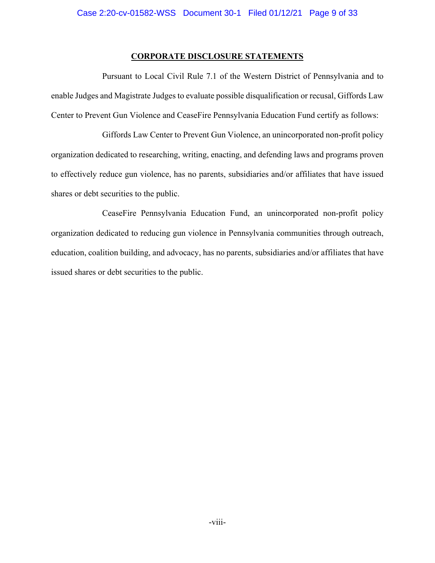## **CORPORATE DISCLOSURE STATEMENTS**

Pursuant to Local Civil Rule 7.1 of the Western District of Pennsylvania and to enable Judges and Magistrate Judges to evaluate possible disqualification or recusal, Giffords Law Center to Prevent Gun Violence and CeaseFire Pennsylvania Education Fund certify as follows:

Giffords Law Center to Prevent Gun Violence, an unincorporated non-profit policy organization dedicated to researching, writing, enacting, and defending laws and programs proven to effectively reduce gun violence, has no parents, subsidiaries and/or affiliates that have issued shares or debt securities to the public.

CeaseFire Pennsylvania Education Fund, an unincorporated non-profit policy organization dedicated to reducing gun violence in Pennsylvania communities through outreach, education, coalition building, and advocacy, has no parents, subsidiaries and/or affiliates that have issued shares or debt securities to the public.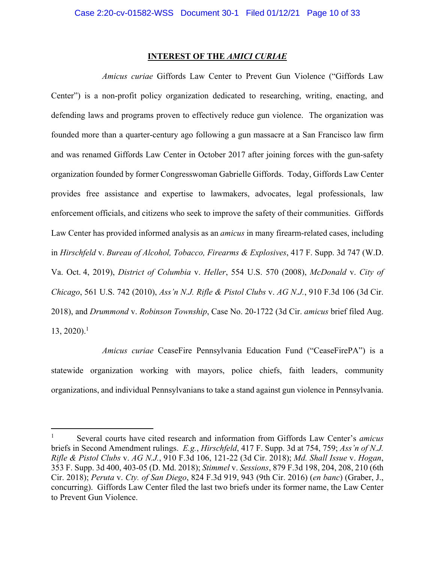### **INTEREST OF THE** *AMICI CURIAE*

*Amicus curiae* Giffords Law Center to Prevent Gun Violence ("Giffords Law Center") is a non-profit policy organization dedicated to researching, writing, enacting, and defending laws and programs proven to effectively reduce gun violence. The organization was founded more than a quarter-century ago following a gun massacre at a San Francisco law firm and was renamed Giffords Law Center in October 2017 after joining forces with the gun-safety organization founded by former Congresswoman Gabrielle Giffords. Today, Giffords Law Center provides free assistance and expertise to lawmakers, advocates, legal professionals, law enforcement officials, and citizens who seek to improve the safety of their communities. Giffords Law Center has provided informed analysis as an *amicus* in many firearm-related cases, including in *Hirschfeld* v. *Bureau of Alcohol, Tobacco, Firearms & Explosives*, 417 F. Supp. 3d 747 (W.D. Va. Oct. 4, 2019), *District of Columbia* v. *Heller*, 554 U.S. 570 (2008), *McDonald* v. *City of Chicago*, 561 U.S. 742 (2010), *Ass'n N.J. Rifle & Pistol Clubs* v. *AG N.J.*, 910 F.3d 106 (3d Cir. 2018), and *Drummond* v. *Robinson Township*, Case No. 20-1722 (3d Cir. *amicus* brief filed Aug.  $13, 2020$ ).<sup>1</sup>

*Amicus curiae* CeaseFire Pennsylvania Education Fund ("CeaseFirePA") is a statewide organization working with mayors, police chiefs, faith leaders, community organizations, and individual Pennsylvanians to take a stand against gun violence in Pennsylvania.

<sup>1</sup> Several courts have cited research and information from Giffords Law Center's *amicus*  briefs in Second Amendment rulings. *E.g.*, *Hirschfeld*, 417 F. Supp. 3d at 754, 759; *Ass'n of N.J. Rifle & Pistol Clubs* v. *AG N.J.*, 910 F.3d 106, 121-22 (3d Cir. 2018); *Md. Shall Issue* v. *Hogan*, 353 F. Supp. 3d 400, 403-05 (D. Md. 2018); *Stimmel* v. *Sessions*, 879 F.3d 198, 204, 208, 210 (6th Cir. 2018); *Peruta* v. *Cty. of San Diego*, 824 F.3d 919, 943 (9th Cir. 2016) (*en banc*) (Graber, J., concurring). Giffords Law Center filed the last two briefs under its former name, the Law Center to Prevent Gun Violence.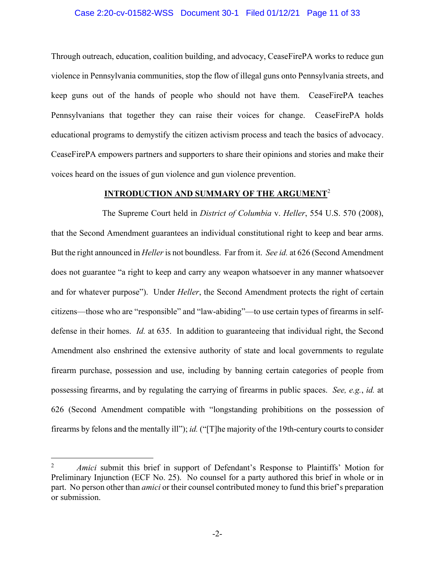#### Case 2:20-cv-01582-WSS Document 30-1 Filed 01/12/21 Page 11 of 33

Through outreach, education, coalition building, and advocacy, CeaseFirePA works to reduce gun violence in Pennsylvania communities, stop the flow of illegal guns onto Pennsylvania streets, and keep guns out of the hands of people who should not have them. CeaseFirePA teaches Pennsylvanians that together they can raise their voices for change. CeaseFirePA holds educational programs to demystify the citizen activism process and teach the basics of advocacy. CeaseFirePA empowers partners and supporters to share their opinions and stories and make their voices heard on the issues of gun violence and gun violence prevention.

### **INTRODUCTION AND SUMMARY OF THE ARGUMENT**<sup>2</sup>

The Supreme Court held in *District of Columbia* v. *Heller*, 554 U.S. 570 (2008), that the Second Amendment guarantees an individual constitutional right to keep and bear arms. But the right announced in *Heller* is not boundless. Far from it. *See id.* at 626 (Second Amendment does not guarantee "a right to keep and carry any weapon whatsoever in any manner whatsoever and for whatever purpose"). Under *Heller*, the Second Amendment protects the right of certain citizens—those who are "responsible" and "law-abiding"—to use certain types of firearms in selfdefense in their homes. *Id.* at 635. In addition to guaranteeing that individual right, the Second Amendment also enshrined the extensive authority of state and local governments to regulate firearm purchase, possession and use, including by banning certain categories of people from possessing firearms, and by regulating the carrying of firearms in public spaces. *See, e.g.*, *id.* at 626 (Second Amendment compatible with "longstanding prohibitions on the possession of firearms by felons and the mentally ill"); *id.* ("[T]he majority of the 19th-century courts to consider

l

<sup>2</sup> *Amici* submit this brief in support of Defendant's Response to Plaintiffs' Motion for Preliminary Injunction (ECF No. 25). No counsel for a party authored this brief in whole or in part. No person other than *amici* or their counsel contributed money to fund this brief's preparation or submission.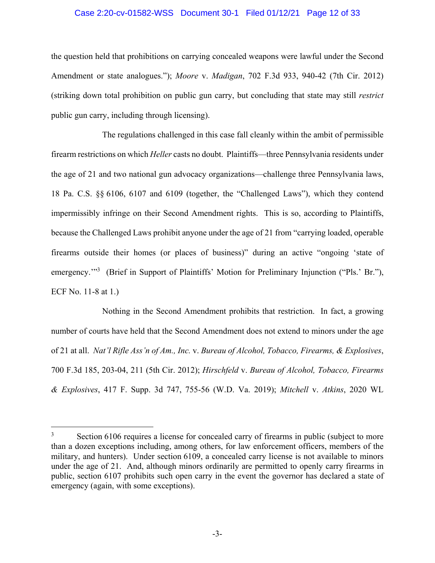### Case 2:20-cv-01582-WSS Document 30-1 Filed 01/12/21 Page 12 of 33

the question held that prohibitions on carrying concealed weapons were lawful under the Second Amendment or state analogues."); *Moore* v. *Madigan*, 702 F.3d 933, 940-42 (7th Cir. 2012) (striking down total prohibition on public gun carry, but concluding that state may still *restrict*  public gun carry, including through licensing).

The regulations challenged in this case fall cleanly within the ambit of permissible firearm restrictions on which *Heller* casts no doubt. Plaintiffs—three Pennsylvania residents under the age of 21 and two national gun advocacy organizations—challenge three Pennsylvania laws, 18 Pa. C.S. §§ 6106, 6107 and 6109 (together, the "Challenged Laws"), which they contend impermissibly infringe on their Second Amendment rights. This is so, according to Plaintiffs, because the Challenged Laws prohibit anyone under the age of 21 from "carrying loaded, operable firearms outside their homes (or places of business)" during an active "ongoing 'state of emergency."<sup>3</sup> (Brief in Support of Plaintiffs' Motion for Preliminary Injunction ("Pls.' Br."), ECF No. 11-8 at 1.)

Nothing in the Second Amendment prohibits that restriction. In fact, a growing number of courts have held that the Second Amendment does not extend to minors under the age of 21 at all. *Nat'l Rifle Ass'n of Am., Inc.* v. *Bureau of Alcohol, Tobacco, Firearms, & Explosives*, 700 F.3d 185, 203-04, 211 (5th Cir. 2012); *Hirschfeld* v. *Bureau of Alcohol, Tobacco, Firearms & Explosives*, 417 F. Supp. 3d 747, 755-56 (W.D. Va. 2019); *Mitchell* v. *Atkins*, 2020 WL

<sup>3</sup> Section 6106 requires a license for concealed carry of firearms in public (subject to more than a dozen exceptions including, among others, for law enforcement officers, members of the military, and hunters). Under section 6109, a concealed carry license is not available to minors under the age of 21. And, although minors ordinarily are permitted to openly carry firearms in public, section 6107 prohibits such open carry in the event the governor has declared a state of emergency (again, with some exceptions).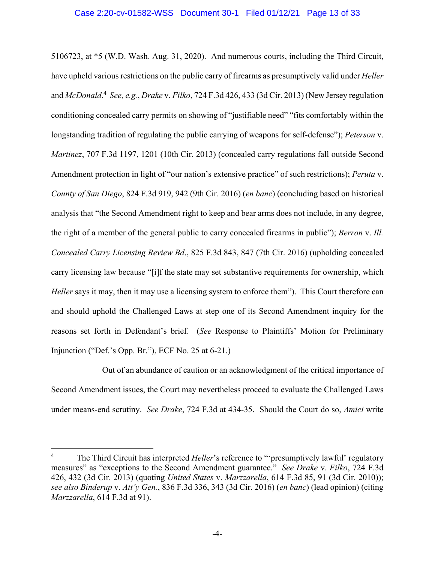#### Case 2:20-cv-01582-WSS Document 30-1 Filed 01/12/21 Page 13 of 33

5106723, at \*5 (W.D. Wash. Aug. 31, 2020). And numerous courts, including the Third Circuit, have upheld various restrictions on the public carry of firearms as presumptively valid under *Heller* and *McDonald*. 4 *See, e.g.*, *Drake* v. *Filko*, 724 F.3d 426, 433 (3d Cir. 2013) (New Jersey regulation conditioning concealed carry permits on showing of "justifiable need" "fits comfortably within the longstanding tradition of regulating the public carrying of weapons for self-defense"); *Peterson* v. *Martinez*, 707 F.3d 1197, 1201 (10th Cir. 2013) (concealed carry regulations fall outside Second Amendment protection in light of "our nation's extensive practice" of such restrictions); *Peruta* v. *County of San Diego*, 824 F.3d 919, 942 (9th Cir. 2016) (*en banc*) (concluding based on historical analysis that "the Second Amendment right to keep and bear arms does not include, in any degree, the right of a member of the general public to carry concealed firearms in public"); *Berron* v. *Ill. Concealed Carry Licensing Review Bd*., 825 F.3d 843, 847 (7th Cir. 2016) (upholding concealed carry licensing law because "[i]f the state may set substantive requirements for ownership, which *Heller* says it may, then it may use a licensing system to enforce them"). This Court therefore can and should uphold the Challenged Laws at step one of its Second Amendment inquiry for the reasons set forth in Defendant's brief. (*See* Response to Plaintiffs' Motion for Preliminary Injunction ("Def.'s Opp. Br."), ECF No. 25 at 6-21.)

Out of an abundance of caution or an acknowledgment of the critical importance of Second Amendment issues, the Court may nevertheless proceed to evaluate the Challenged Laws under means-end scrutiny. *See Drake*, 724 F.3d at 434-35. Should the Court do so, *Amici* write

<sup>4</sup> The Third Circuit has interpreted *Heller*'s reference to "'presumptively lawful' regulatory measures" as "exceptions to the Second Amendment guarantee." *See Drake* v. *Filko*, 724 F.3d 426, 432 (3d Cir. 2013) (quoting *United States* v. *Marzzarella*, 614 F.3d 85, 91 (3d Cir. 2010)); *see also Binderup* v. *Att'y Gen.*, 836 F.3d 336, 343 (3d Cir. 2016) (*en banc*) (lead opinion) (citing *Marzzarella*, 614 F.3d at 91).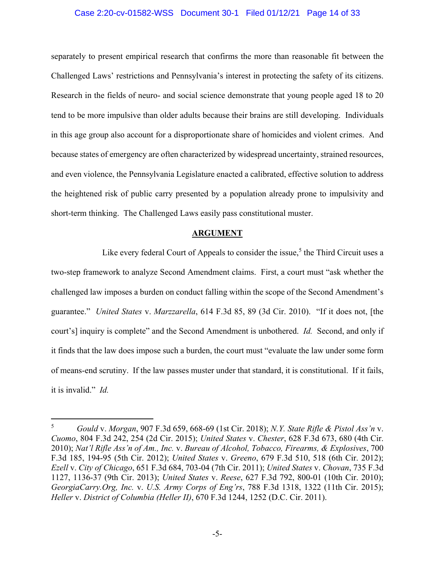#### Case 2:20-cv-01582-WSS Document 30-1 Filed 01/12/21 Page 14 of 33

separately to present empirical research that confirms the more than reasonable fit between the Challenged Laws' restrictions and Pennsylvania's interest in protecting the safety of its citizens. Research in the fields of neuro- and social science demonstrate that young people aged 18 to 20 tend to be more impulsive than older adults because their brains are still developing. Individuals in this age group also account for a disproportionate share of homicides and violent crimes. And because states of emergency are often characterized by widespread uncertainty, strained resources, and even violence, the Pennsylvania Legislature enacted a calibrated, effective solution to address the heightened risk of public carry presented by a population already prone to impulsivity and short-term thinking. The Challenged Laws easily pass constitutional muster.

#### **ARGUMENT**

Like every federal Court of Appeals to consider the issue,<sup>5</sup> the Third Circuit uses a two-step framework to analyze Second Amendment claims. First, a court must "ask whether the challenged law imposes a burden on conduct falling within the scope of the Second Amendment's guarantee." *United States* v. *Marzzarella*, 614 F.3d 85, 89 (3d Cir. 2010). "If it does not, [the court's] inquiry is complete" and the Second Amendment is unbothered. *Id.* Second, and only if it finds that the law does impose such a burden, the court must "evaluate the law under some form of means-end scrutiny. If the law passes muster under that standard, it is constitutional. If it fails, it is invalid." *Id.*

l

<sup>5</sup> *Gould* v. *Morgan*, 907 F.3d 659, 668-69 (1st Cir. 2018); *N.Y. State Rifle & Pistol Ass'n* v. *Cuomo*, 804 F.3d 242, 254 (2d Cir. 2015); *United States* v. *Chester*, 628 F.3d 673, 680 (4th Cir. 2010); *Nat'l Rifle Ass'n of Am., Inc.* v. *Bureau of Alcohol, Tobacco, Firearms, & Explosives*, 700 F.3d 185, 194-95 (5th Cir. 2012); *United States* v. *Greeno*, 679 F.3d 510, 518 (6th Cir. 2012); *Ezell* v. *City of Chicago*, 651 F.3d 684, 703-04 (7th Cir. 2011); *United States* v. *Chovan*, 735 F.3d 1127, 1136-37 (9th Cir. 2013); *United States* v. *Reese*, 627 F.3d 792, 800-01 (10th Cir. 2010); *GeorgiaCarry.Org, Inc.* v. *U.S. Army Corps of Eng'rs*, 788 F.3d 1318, 1322 (11th Cir. 2015); *Heller* v. *District of Columbia (Heller II)*, 670 F.3d 1244, 1252 (D.C. Cir. 2011).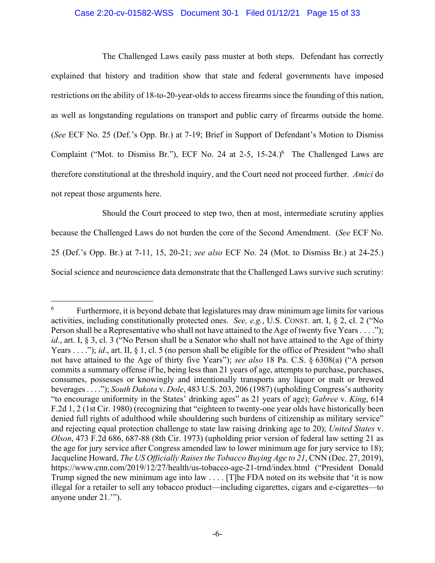## Case 2:20-cv-01582-WSS Document 30-1 Filed 01/12/21 Page 15 of 33

The Challenged Laws easily pass muster at both steps. Defendant has correctly explained that history and tradition show that state and federal governments have imposed restrictions on the ability of 18-to-20-year-olds to access firearms since the founding of this nation, as well as longstanding regulations on transport and public carry of firearms outside the home. (*See* ECF No. 25 (Def.'s Opp. Br.) at 7-19; Brief in Support of Defendant's Motion to Dismiss Complaint ("Mot. to Dismiss Br."), ECF No. 24 at 2-5,  $15-24$ .)<sup>6</sup> The Challenged Laws are therefore constitutional at the threshold inquiry, and the Court need not proceed further. *Amici* do not repeat those arguments here.

Should the Court proceed to step two, then at most, intermediate scrutiny applies because the Challenged Laws do not burden the core of the Second Amendment. (*See* ECF No. 25 (Def.'s Opp. Br.) at 7-11, 15, 20-21; *see also* ECF No. 24 (Mot. to Dismiss Br.) at 24-25.) Social science and neuroscience data demonstrate that the Challenged Laws survive such scrutiny:

 $\overline{a}$ 6 Furthermore, it is beyond debate that legislatures may draw minimum age limits for various activities, including constitutionally protected ones. *See, e.g.*, U.S. CONST. art. I, § 2, cl. 2 ("No Person shall be a Representative who shall not have attained to the Age of twenty five Years . . . ."); *id.*, art. I, § 3, cl. 3 ("No Person shall be a Senator who shall not have attained to the Age of thirty Years . . . ."); *id.*, art. II,  $\S$  1, cl. 5 (no person shall be eligible for the office of President "who shall not have attained to the Age of thirty five Years"); *see also* 18 Pa. C.S. § 6308(a) ("A person commits a summary offense if he, being less than 21 years of age, attempts to purchase, purchases, consumes, possesses or knowingly and intentionally transports any liquor or malt or brewed beverages . . . ."); *South Dakota* v. *Dole*, 483 U.S. 203, 206 (1987) (upholding Congress's authority "to encourage uniformity in the States' drinking ages" as 21 years of age); *Gabree* v. *King*, 614 F.2d 1, 2 (1st Cir. 1980) (recognizing that "eighteen to twenty-one year olds have historically been denied full rights of adulthood while shouldering such burdens of citizenship as military service" and rejecting equal protection challenge to state law raising drinking age to 20); *United States* v. *Olson*, 473 F.2d 686, 687-88 (8th Cir. 1973) (upholding prior version of federal law setting 21 as the age for jury service after Congress amended law to lower minimum age for jury service to 18); Jacqueline Howard, *The US Officially Raises the Tobacco Buying Age to 21*, CNN (Dec. 27, 2019), https://www.cnn.com/2019/12/27/health/us-tobacco-age-21-trnd/index.html ("President Donald Trump signed the new minimum age into law . . . . [T] he FDA noted on its website that 'it is now illegal for a retailer to sell any tobacco product—including cigarettes, cigars and e-cigarettes—to anyone under 21.'").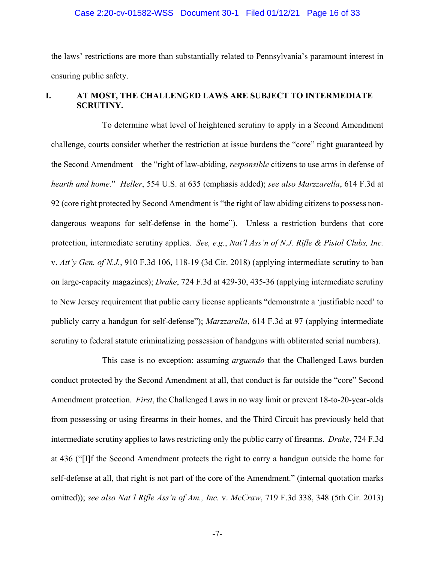## Case 2:20-cv-01582-WSS Document 30-1 Filed 01/12/21 Page 16 of 33

the laws' restrictions are more than substantially related to Pennsylvania's paramount interest in ensuring public safety.

## **I. AT MOST, THE CHALLENGED LAWS ARE SUBJECT TO INTERMEDIATE SCRUTINY.**

To determine what level of heightened scrutiny to apply in a Second Amendment challenge, courts consider whether the restriction at issue burdens the "core" right guaranteed by the Second Amendment—the "right of law-abiding, *responsible* citizens to use arms in defense of *hearth and home*." *Heller*, 554 U.S. at 635 (emphasis added); *see also Marzzarella*, 614 F.3d at 92 (core right protected by Second Amendment is "the right of law abiding citizens to possess nondangerous weapons for self-defense in the home"). Unless a restriction burdens that core protection, intermediate scrutiny applies. *See, e.g.*, *Nat'l Ass'n of N.J. Rifle & Pistol Clubs, Inc.*  v. *Att'y Gen. of N.J.*, 910 F.3d 106, 118-19 (3d Cir. 2018) (applying intermediate scrutiny to ban on large-capacity magazines); *Drake*, 724 F.3d at 429-30, 435-36 (applying intermediate scrutiny to New Jersey requirement that public carry license applicants "demonstrate a 'justifiable need' to publicly carry a handgun for self-defense"); *Marzzarella*, 614 F.3d at 97 (applying intermediate scrutiny to federal statute criminalizing possession of handguns with obliterated serial numbers).

This case is no exception: assuming *arguendo* that the Challenged Laws burden conduct protected by the Second Amendment at all, that conduct is far outside the "core" Second Amendment protection. *First*, the Challenged Laws in no way limit or prevent 18-to-20-year-olds from possessing or using firearms in their homes, and the Third Circuit has previously held that intermediate scrutiny applies to laws restricting only the public carry of firearms. *Drake*, 724 F.3d at 436 ("[I]f the Second Amendment protects the right to carry a handgun outside the home for self-defense at all, that right is not part of the core of the Amendment." (internal quotation marks omitted)); *see also Nat'l Rifle Ass'n of Am., Inc.* v. *McCraw*, 719 F.3d 338, 348 (5th Cir. 2013)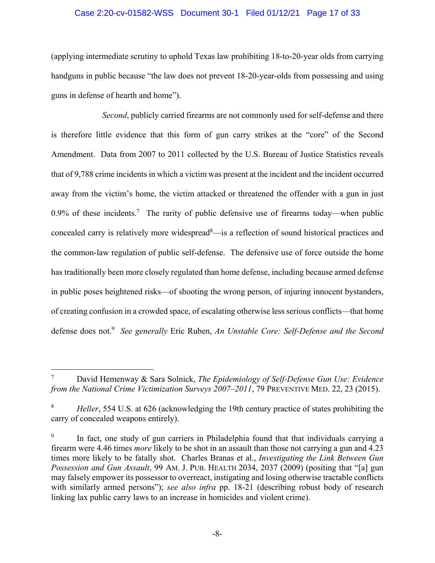## Case 2:20-cv-01582-WSS Document 30-1 Filed 01/12/21 Page 17 of 33

(applying intermediate scrutiny to uphold Texas law prohibiting 18-to-20-year olds from carrying handguns in public because "the law does not prevent 18-20-year-olds from possessing and using guns in defense of hearth and home").

*Second*, publicly carried firearms are not commonly used for self-defense and there is therefore little evidence that this form of gun carry strikes at the "core" of the Second Amendment. Data from 2007 to 2011 collected by the U.S. Bureau of Justice Statistics reveals that of 9,788 crime incidents in which a victim was present at the incident and the incident occurred away from the victim's home, the victim attacked or threatened the offender with a gun in just 0.9% of these incidents.<sup>7</sup> The rarity of public defensive use of firearms today—when public concealed carry is relatively more widespread<sup>8</sup>—is a reflection of sound historical practices and the common-law regulation of public self-defense. The defensive use of force outside the home has traditionally been more closely regulated than home defense, including because armed defense in public poses heightened risks—of shooting the wrong person, of injuring innocent bystanders, of creating confusion in a crowded space, of escalating otherwise less serious conflicts—that home defense does not.9 *See generally* Eric Ruben, *An Unstable Core: Self-Defense and the Second* 

<sup>7</sup> David Hemenway & Sara Solnick, *The Epidemiology of Self-Defense Gun Use: Evidence from the National Crime Victimization Surveys 2007–2011*, 79 PREVENTIVE MED. 22, 23 (2015).

<sup>8</sup>  *Heller*, 554 U.S. at 626 (acknowledging the 19th century practice of states prohibiting the carry of concealed weapons entirely).

<sup>9</sup> In fact, one study of gun carriers in Philadelphia found that that individuals carrying a firearm were 4.46 times *more* likely to be shot in an assault than those not carrying a gun and 4.23 times more likely to be fatally shot. Charles Branas et al., *Investigating the Link Between Gun Possession and Gun Assault*, 99 AM. J. PUB. HEALTH 2034, 2037 (2009) (positing that "[a] gun may falsely empower its possessor to overreact, instigating and losing otherwise tractable conflicts with similarly armed persons"); *see also infra* pp. 18-21 (describing robust body of research linking lax public carry laws to an increase in homicides and violent crime).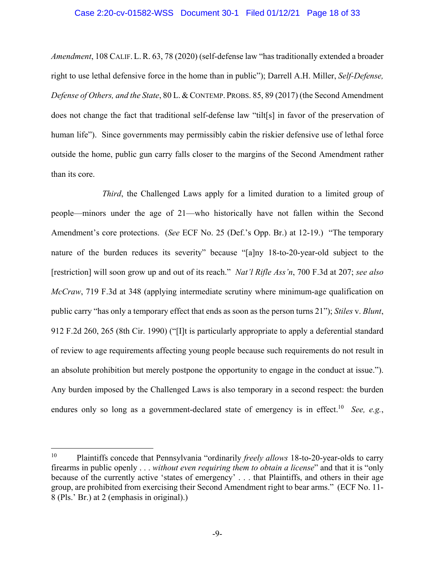#### Case 2:20-cv-01582-WSS Document 30-1 Filed 01/12/21 Page 18 of 33

*Amendment*, 108 CALIF. L.R. 63, 78 (2020) (self-defense law "has traditionally extended a broader right to use lethal defensive force in the home than in public"); Darrell A.H. Miller, *Self-Defense, Defense of Others, and the State*, 80 L.& CONTEMP. PROBS. 85, 89 (2017) (the Second Amendment does not change the fact that traditional self-defense law "tilt[s] in favor of the preservation of human life"). Since governments may permissibly cabin the riskier defensive use of lethal force outside the home, public gun carry falls closer to the margins of the Second Amendment rather than its core.

*Third*, the Challenged Laws apply for a limited duration to a limited group of people—minors under the age of 21—who historically have not fallen within the Second Amendment's core protections. (*See* ECF No. 25 (Def.'s Opp. Br.) at 12-19.) "The temporary nature of the burden reduces its severity" because "[a]ny 18-to-20-year-old subject to the [restriction] will soon grow up and out of its reach." *Nat'l Rifle Ass'n*, 700 F.3d at 207; *see also McCraw*, 719 F.3d at 348 (applying intermediate scrutiny where minimum-age qualification on public carry "has only a temporary effect that ends as soon as the person turns 21"); *Stiles* v. *Blunt*, 912 F.2d 260, 265 (8th Cir. 1990) ("[I]t is particularly appropriate to apply a deferential standard of review to age requirements affecting young people because such requirements do not result in an absolute prohibition but merely postpone the opportunity to engage in the conduct at issue."). Any burden imposed by the Challenged Laws is also temporary in a second respect: the burden endures only so long as a government-declared state of emergency is in effect.<sup>10</sup> *See, e.g.*,

<sup>10</sup> Plaintiffs concede that Pennsylvania "ordinarily *freely allows* 18-to-20-year-olds to carry firearms in public openly . . . *without even requiring them to obtain a license*" and that it is "only because of the currently active 'states of emergency' . . . that Plaintiffs, and others in their age group, are prohibited from exercising their Second Amendment right to bear arms." (ECF No. 11- 8 (Pls.' Br.) at 2 (emphasis in original).)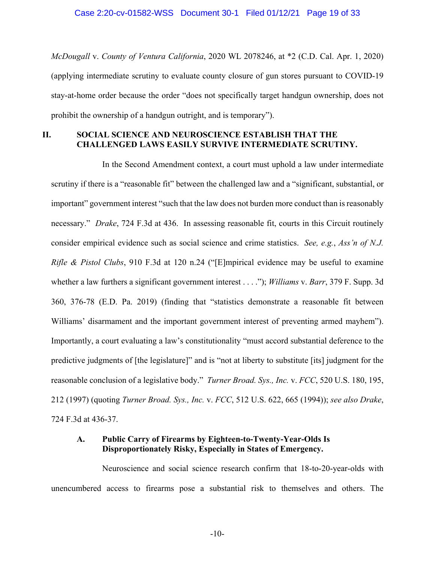*McDougall* v. *County of Ventura California*, 2020 WL 2078246, at \*2 (C.D. Cal. Apr. 1, 2020) (applying intermediate scrutiny to evaluate county closure of gun stores pursuant to COVID-19 stay-at-home order because the order "does not specifically target handgun ownership, does not prohibit the ownership of a handgun outright, and is temporary").

## **II. SOCIAL SCIENCE AND NEUROSCIENCE ESTABLISH THAT THE CHALLENGED LAWS EASILY SURVIVE INTERMEDIATE SCRUTINY.**

In the Second Amendment context, a court must uphold a law under intermediate scrutiny if there is a "reasonable fit" between the challenged law and a "significant, substantial, or important" government interest "such that the law does not burden more conduct than is reasonably necessary." *Drake*, 724 F.3d at 436. In assessing reasonable fit, courts in this Circuit routinely consider empirical evidence such as social science and crime statistics. *See, e.g.*, *Ass'n of N.J. Rifle & Pistol Clubs*, 910 F.3d at 120 n.24 ("[E]mpirical evidence may be useful to examine whether a law furthers a significant government interest . . . ."); *Williams* v. *Barr*, 379 F. Supp. 3d 360, 376-78 (E.D. Pa. 2019) (finding that "statistics demonstrate a reasonable fit between Williams' disarmament and the important government interest of preventing armed mayhem"). Importantly, a court evaluating a law's constitutionality "must accord substantial deference to the predictive judgments of [the legislature]" and is "not at liberty to substitute [its] judgment for the reasonable conclusion of a legislative body." *Turner Broad. Sys., Inc.* v. *FCC*, 520 U.S. 180, 195, 212 (1997) (quoting *Turner Broad. Sys., Inc.* v. *FCC*, 512 U.S. 622, 665 (1994)); *see also Drake*, 724 F.3d at 436-37.

## **A. Public Carry of Firearms by Eighteen-to-Twenty-Year-Olds Is Disproportionately Risky, Especially in States of Emergency.**

Neuroscience and social science research confirm that 18-to-20-year-olds with unencumbered access to firearms pose a substantial risk to themselves and others. The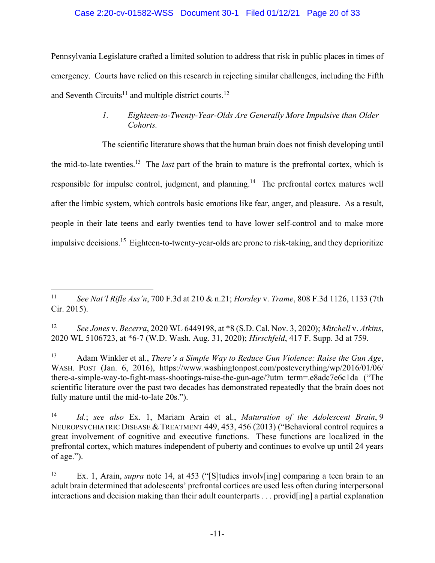## Case 2:20-cv-01582-WSS Document 30-1 Filed 01/12/21 Page 20 of 33

Pennsylvania Legislature crafted a limited solution to address that risk in public places in times of emergency. Courts have relied on this research in rejecting similar challenges, including the Fifth and Seventh Circuits<sup>11</sup> and multiple district courts.<sup>12</sup>

## *1. Eighteen-to-Twenty-Year-Olds Are Generally More Impulsive than Older Cohorts.*

The scientific literature shows that the human brain does not finish developing until the mid-to-late twenties.13 The *last* part of the brain to mature is the prefrontal cortex, which is responsible for impulse control, judgment, and planning.<sup>14</sup> The prefrontal cortex matures well after the limbic system, which controls basic emotions like fear, anger, and pleasure. As a result, people in their late teens and early twenties tend to have lower self-control and to make more impulsive decisions.<sup>15</sup> Eighteen-to-twenty-year-olds are prone to risk-taking, and they deprioritize

12 *See Jones* v. *Becerra*, 2020 WL 6449198, at \*8 (S.D. Cal. Nov. 3, 2020); *Mitchell* v. *Atkins*, 2020 WL 5106723, at \*6-7 (W.D. Wash. Aug. 31, 2020); *Hirschfeld*, 417 F. Supp. 3d at 759.

13 Adam Winkler et al., *There's a Simple Way to Reduce Gun Violence: Raise the Gun Age*, WASH. POST (Jan. 6, 2016), https://www.washingtonpost.com/posteverything/wp/2016/01/06/ there-a-simple-way-to-fight-mass-shootings-raise-the-gun-age/?utm\_term=.e8adc7e6c1da ("The scientific literature over the past two decades has demonstrated repeatedly that the brain does not fully mature until the mid-to-late 20s.").

14 *Id.*; *see also* Ex. 1, Mariam Arain et al., *Maturation of the Adolescent Brain*, 9 NEUROPSYCHIATRIC DISEASE & TREATMENT 449, 453, 456 (2013) ("Behavioral control requires a great involvement of cognitive and executive functions. These functions are localized in the prefrontal cortex, which matures independent of puberty and continues to evolve up until 24 years of age.").

15 Ex. 1, Arain, *supra* note 14, at 453 ("[S]tudies involv[ing] comparing a teen brain to an adult brain determined that adolescents' prefrontal cortices are used less often during interpersonal interactions and decision making than their adult counterparts . . . provid[ing] a partial explanation

 $\overline{a}$ 11 *See Nat'l Rifle Ass'n*, 700 F.3d at 210 & n.21; *Horsley* v. *Trame*, 808 F.3d 1126, 1133 (7th Cir. 2015).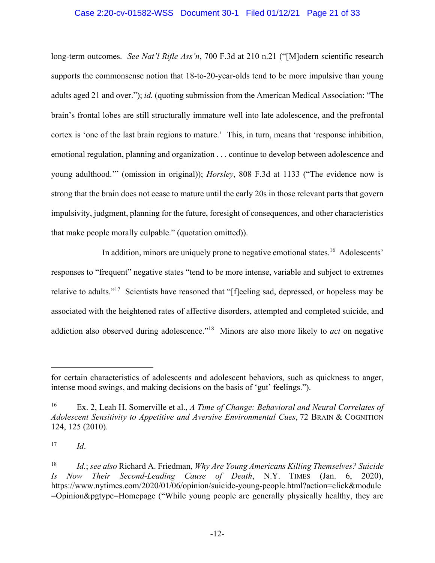## Case 2:20-cv-01582-WSS Document 30-1 Filed 01/12/21 Page 21 of 33

long-term outcomes. *See Nat'l Rifle Ass'n*, 700 F.3d at 210 n.21 ("[M]odern scientific research supports the commonsense notion that 18-to-20-year-olds tend to be more impulsive than young adults aged 21 and over."); *id.* (quoting submission from the American Medical Association: "The brain's frontal lobes are still structurally immature well into late adolescence, and the prefrontal cortex is 'one of the last brain regions to mature.' This, in turn, means that 'response inhibition, emotional regulation, planning and organization . . . continue to develop between adolescence and young adulthood.'" (omission in original)); *Horsley*, 808 F.3d at 1133 ("The evidence now is strong that the brain does not cease to mature until the early 20s in those relevant parts that govern impulsivity, judgment, planning for the future, foresight of consequences, and other characteristics that make people morally culpable." (quotation omitted)).

In addition, minors are uniquely prone to negative emotional states.<sup>16</sup> Adolescents' responses to "frequent" negative states "tend to be more intense, variable and subject to extremes relative to adults."<sup>17</sup> Scientists have reasoned that "[fleeling sad, depressed, or hopeless may be associated with the heightened rates of affective disorders, attempted and completed suicide, and addiction also observed during adolescence."18 Minors are also more likely to *act* on negative

for certain characteristics of adolescents and adolescent behaviors, such as quickness to anger, intense mood swings, and making decisions on the basis of 'gut' feelings.").

<sup>16</sup> Ex. 2, Leah H. Somerville et al., *A Time of Change: Behavioral and Neural Correlates of Adolescent Sensitivity to Appetitive and Aversive Environmental Cues*, 72 BRAIN & COGNITION 124, 125 (2010).

<sup>17</sup> *Id*.

<sup>18</sup> *Id.*; *see also* Richard A. Friedman, *Why Are Young Americans Killing Themselves? Suicide Is Now Their Second-Leading Cause of Death*, N.Y. TIMES (Jan. 6, 2020), https://www.nytimes.com/2020/01/06/opinion/suicide-young-people.html?action=click&module =Opinion&pgtype=Homepage ("While young people are generally physically healthy, they are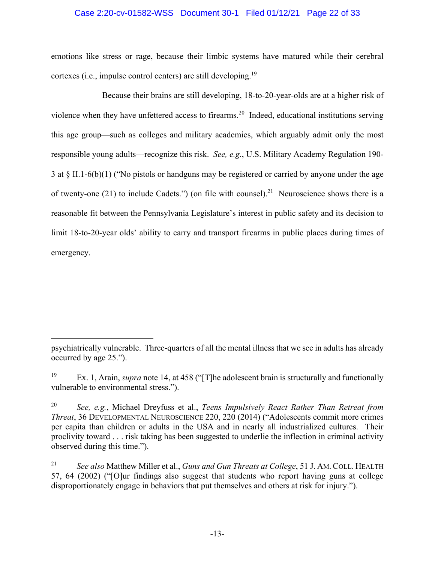## Case 2:20-cv-01582-WSS Document 30-1 Filed 01/12/21 Page 22 of 33

emotions like stress or rage, because their limbic systems have matured while their cerebral cortexes (i.e., impulse control centers) are still developing.<sup>19</sup>

Because their brains are still developing, 18-to-20-year-olds are at a higher risk of violence when they have unfettered access to firearms.<sup>20</sup> Indeed, educational institutions serving this age group—such as colleges and military academies, which arguably admit only the most responsible young adults—recognize this risk. *See, e.g.*, U.S. Military Academy Regulation 190- 3 at § II.1-6(b)(1) ("No pistols or handguns may be registered or carried by anyone under the age of twenty-one (21) to include Cadets.") (on file with counsel).<sup>21</sup> Neuroscience shows there is a reasonable fit between the Pennsylvania Legislature's interest in public safety and its decision to limit 18-to-20-year olds' ability to carry and transport firearms in public places during times of emergency.

psychiatrically vulnerable. Three-quarters of all the mental illness that we see in adults has already occurred by age 25.").

<sup>19</sup> Ex. 1, Arain, *supra* note 14, at 458 ("[T]he adolescent brain is structurally and functionally vulnerable to environmental stress.").

<sup>20</sup> *See, e.g.*, Michael Dreyfuss et al., *Teens Impulsively React Rather Than Retreat from Threat*, 36 DEVELOPMENTAL NEUROSCIENCE 220, 220 (2014) ("Adolescents commit more crimes per capita than children or adults in the USA and in nearly all industrialized cultures. Their proclivity toward . . . risk taking has been suggested to underlie the inflection in criminal activity observed during this time.").

<sup>21</sup> *See also* Matthew Miller et al., *Guns and Gun Threats at College*, 51 J. AM. COLL. HEALTH 57, 64 (2002) ("[O]ur findings also suggest that students who report having guns at college disproportionately engage in behaviors that put themselves and others at risk for injury.").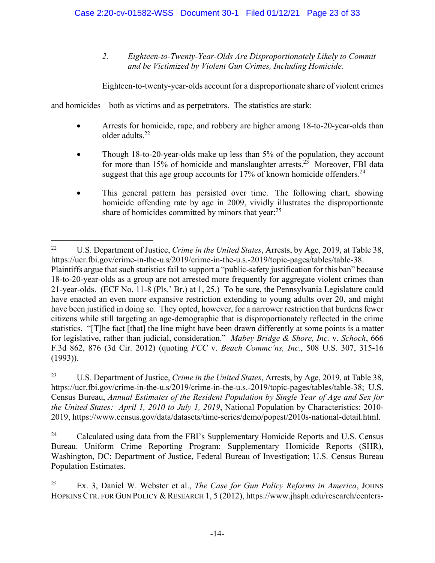*2. Eighteen-to-Twenty-Year-Olds Are Disproportionately Likely to Commit and be Victimized by Violent Gun Crimes, Including Homicide.* 

Eighteen-to-twenty-year-olds account for a disproportionate share of violent crimes

and homicides—both as victims and as perpetrators. The statistics are stark:

- Arrests for homicide, rape, and robbery are higher among 18-to-20-year-olds than older adults.22
- Though 18-to-20-year-olds make up less than 5% of the population, they account for more than 15% of homicide and manslaughter arrests.<sup>23</sup> Moreover, FBI data suggest that this age group accounts for 17% of known homicide offenders.<sup>24</sup>
- This general pattern has persisted over time. The following chart, showing homicide offending rate by age in 2009, vividly illustrates the disproportionate share of homicides committed by minors that year: $25$

 $\overline{a}$ 22 U.S. Department of Justice, *Crime in the United States*, Arrests, by Age, 2019, at Table 38, https://ucr.fbi.gov/crime-in-the-u.s/2019/crime-in-the-u.s.-2019/topic-pages/tables/table-38. Plaintiffs argue that such statistics fail to support a "public-safety justification for this ban" because 18-to-20-year-olds as a group are not arrested more frequently for aggregate violent crimes than 21-year-olds. (ECF No. 11-8 (Pls.' Br.) at 1, 25.) To be sure, the Pennsylvania Legislature could have enacted an even more expansive restriction extending to young adults over 20, and might have been justified in doing so. They opted, however, for a narrower restriction that burdens fewer citizens while still targeting an age-demographic that is disproportionately reflected in the crime statistics. "[T]he fact [that] the line might have been drawn differently at some points is a matter for legislative, rather than judicial, consideration." *Mabey Bridge & Shore, Inc.* v. *Schoch*, 666 F.3d 862, 876 (3d Cir. 2012) (quoting *FCC* v. *Beach Commc'ns, Inc.*, 508 U.S. 307, 315-16 (1993)).

<sup>23</sup> U.S. Department of Justice, *Crime in the United States*, Arrests, by Age, 2019, at Table 38, https://ucr.fbi.gov/crime-in-the-u.s/2019/crime-in-the-u.s.-2019/topic-pages/tables/table-38; U.S. Census Bureau, *Annual Estimates of the Resident Population by Single Year of Age and Sex for the United States: April 1, 2010 to July 1, 2019*, National Population by Characteristics: 2010- 2019, https://www.census.gov/data/datasets/time-series/demo/popest/2010s-national-detail.html.

<sup>&</sup>lt;sup>24</sup> Calculated using data from the FBI's Supplementary Homicide Reports and U.S. Census Bureau. Uniform Crime Reporting Program: Supplementary Homicide Reports (SHR), Washington, DC: Department of Justice, Federal Bureau of Investigation; U.S. Census Bureau Population Estimates.

<sup>25</sup> Ex. 3, Daniel W. Webster et al., *The Case for Gun Policy Reforms in America*, JOHNS HOPKINS CTR. FOR GUN POLICY & RESEARCH 1, 5 (2012), https://www.jhsph.edu/research/centers-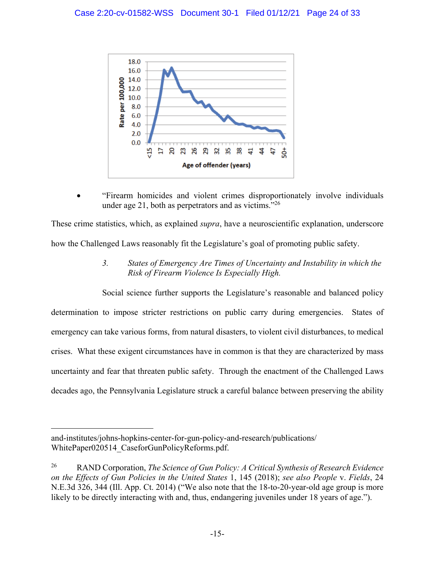

 "Firearm homicides and violent crimes disproportionately involve individuals under age 21, both as perpetrators and as victims." $^{26}$ 

These crime statistics, which, as explained *supra*, have a neuroscientific explanation, underscore how the Challenged Laws reasonably fit the Legislature's goal of promoting public safety.

> *3. States of Emergency Are Times of Uncertainty and Instability in which the Risk of Firearm Violence Is Especially High.*

Social science further supports the Legislature's reasonable and balanced policy determination to impose stricter restrictions on public carry during emergencies. States of emergency can take various forms, from natural disasters, to violent civil disturbances, to medical crises. What these exigent circumstances have in common is that they are characterized by mass uncertainty and fear that threaten public safety. Through the enactment of the Challenged Laws decades ago, the Pennsylvania Legislature struck a careful balance between preserving the ability

and-institutes/johns-hopkins-center-for-gun-policy-and-research/publications/ WhitePaper020514\_CaseforGunPolicyReforms.pdf.

<sup>26</sup> RAND Corporation, *The Science of Gun Policy: A Critical Synthesis of Research Evidence on the Effects of Gun Policies in the United States* 1, 145 (2018); *see also People* v. *Fields*, 24 N.E.3d 326, 344 (Ill. App. Ct. 2014) ("We also note that the 18-to-20-year-old age group is more likely to be directly interacting with and, thus, endangering juveniles under 18 years of age.").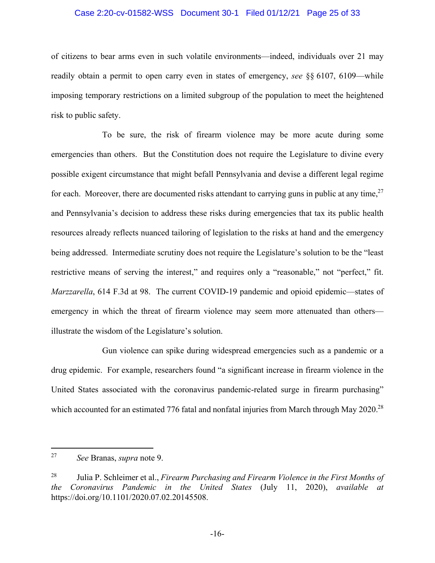### Case 2:20-cv-01582-WSS Document 30-1 Filed 01/12/21 Page 25 of 33

of citizens to bear arms even in such volatile environments—indeed, individuals over 21 may readily obtain a permit to open carry even in states of emergency, *see* §§ 6107, 6109—while imposing temporary restrictions on a limited subgroup of the population to meet the heightened risk to public safety.

To be sure, the risk of firearm violence may be more acute during some emergencies than others. But the Constitution does not require the Legislature to divine every possible exigent circumstance that might befall Pennsylvania and devise a different legal regime for each. Moreover, there are documented risks attendant to carrying guns in public at any time,  $27$ and Pennsylvania's decision to address these risks during emergencies that tax its public health resources already reflects nuanced tailoring of legislation to the risks at hand and the emergency being addressed. Intermediate scrutiny does not require the Legislature's solution to be the "least restrictive means of serving the interest," and requires only a "reasonable," not "perfect," fit. *Marzzarella*, 614 F.3d at 98. The current COVID-19 pandemic and opioid epidemic—states of emergency in which the threat of firearm violence may seem more attenuated than others illustrate the wisdom of the Legislature's solution.

Gun violence can spike during widespread emergencies such as a pandemic or a drug epidemic. For example, researchers found "a significant increase in firearm violence in the United States associated with the coronavirus pandemic-related surge in firearm purchasing" which accounted for an estimated 776 fatal and nonfatal injuries from March through May 2020.<sup>28</sup>

<sup>27</sup> *See* Branas, *supra* note 9.

<sup>28</sup> Julia P. Schleimer et al., *Firearm Purchasing and Firearm Violence in the First Months of the Coronavirus Pandemic in the United States* (July 11, 2020), *available at* https://doi.org/10.1101/2020.07.02.20145508.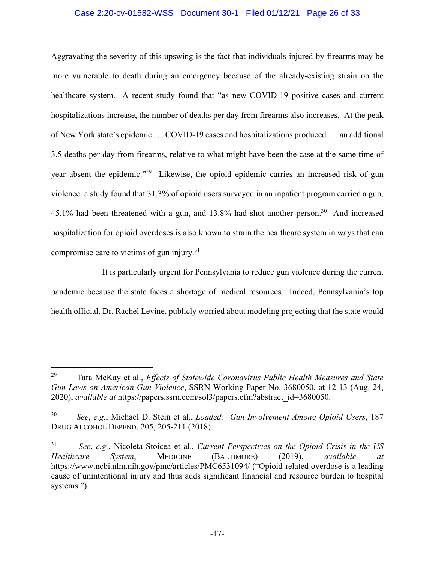## Case 2:20-cv-01582-WSS Document 30-1 Filed 01/12/21 Page 26 of 33

Aggravating the severity of this upswing is the fact that individuals injured by firearms may be more vulnerable to death during an emergency because of the already-existing strain on the healthcare system. A recent study found that "as new COVID-19 positive cases and current hospitalizations increase, the number of deaths per day from firearms also increases. At the peak of New York state's epidemic . . . COVID-19 cases and hospitalizations produced . . . an additional 3.5 deaths per day from firearms, relative to what might have been the case at the same time of year absent the epidemic."<sup>29</sup> Likewise, the opioid epidemic carries an increased risk of gun violence: a study found that 31.3% of opioid users surveyed in an inpatient program carried a gun, 45.1% had been threatened with a gun, and 13.8% had shot another person.<sup>30</sup> And increased hospitalization for opioid overdoses is also known to strain the healthcare system in ways that can compromise care to victims of gun injury.31

It is particularly urgent for Pennsylvania to reduce gun violence during the current pandemic because the state faces a shortage of medical resources. Indeed, Pennsylvania's top health official, Dr. Rachel Levine, publicly worried about modeling projecting that the state would

<sup>29</sup> Tara McKay et al., *Effects of Statewide Coronavirus Public Health Measures and State Gun Laws on American Gun Violence*, SSRN Working Paper No. 3680050, at 12-13 (Aug. 24, 2020), *available at* https://papers.ssrn.com/sol3/papers.cfm?abstract\_id=3680050.

<sup>30</sup> *See*, *e.g.*, Michael D. Stein et al., *Loaded: Gun Involvement Among Opioid Users*, 187 DRUG ALCOHOL DEPEND. 205, 205-211 (2018).

<sup>31</sup> *See*, *e.g.*, Nicoleta Stoicea et al., *Current Perspectives on the Opioid Crisis in the US Healthcare System*, MEDICINE (BALTIMORE) (2019), *available at* https://www.ncbi.nlm.nih.gov/pmc/articles/PMC6531094/ ("Opioid-related overdose is a leading cause of unintentional injury and thus adds significant financial and resource burden to hospital systems.").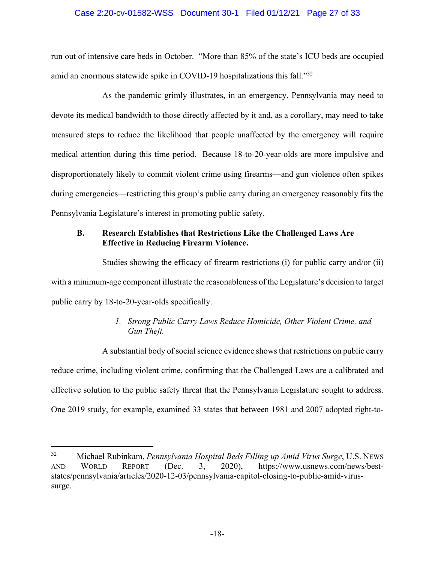## Case 2:20-cv-01582-WSS Document 30-1 Filed 01/12/21 Page 27 of 33

run out of intensive care beds in October. "More than 85% of the state's ICU beds are occupied amid an enormous statewide spike in COVID-19 hospitalizations this fall."<sup>32</sup>

As the pandemic grimly illustrates, in an emergency, Pennsylvania may need to devote its medical bandwidth to those directly affected by it and, as a corollary, may need to take measured steps to reduce the likelihood that people unaffected by the emergency will require medical attention during this time period. Because 18-to-20-year-olds are more impulsive and disproportionately likely to commit violent crime using firearms—and gun violence often spikes during emergencies—restricting this group's public carry during an emergency reasonably fits the Pennsylvania Legislature's interest in promoting public safety.

## **B. Research Establishes that Restrictions Like the Challenged Laws Are Effective in Reducing Firearm Violence.**

Studies showing the efficacy of firearm restrictions (i) for public carry and/or (ii) with a minimum-age component illustrate the reasonableness of the Legislature's decision to target public carry by 18-to-20-year-olds specifically.

## *1. Strong Public Carry Laws Reduce Homicide, Other Violent Crime, and Gun Theft.*

A substantial body of social science evidence shows that restrictions on public carry reduce crime, including violent crime, confirming that the Challenged Laws are a calibrated and effective solution to the public safety threat that the Pennsylvania Legislature sought to address. One 2019 study, for example, examined 33 states that between 1981 and 2007 adopted right-to-

l

<sup>32</sup> Michael Rubinkam, *Pennsylvania Hospital Beds Filling up Amid Virus Surge*, U.S. NEWS AND WORLD REPORT (Dec. 3, 2020), https://www.usnews.com/news/beststates/pennsylvania/articles/2020-12-03/pennsylvania-capitol-closing-to-public-amid-virussurge.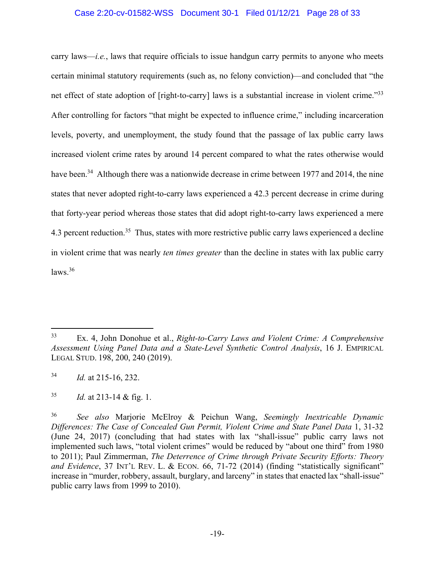### Case 2:20-cv-01582-WSS Document 30-1 Filed 01/12/21 Page 28 of 33

carry laws—*i.e.*, laws that require officials to issue handgun carry permits to anyone who meets certain minimal statutory requirements (such as, no felony conviction)—and concluded that "the net effect of state adoption of [right-to-carry] laws is a substantial increase in violent crime."<sup>33</sup> After controlling for factors "that might be expected to influence crime," including incarceration levels, poverty, and unemployment, the study found that the passage of lax public carry laws increased violent crime rates by around 14 percent compared to what the rates otherwise would have been.<sup>34</sup> Although there was a nationwide decrease in crime between 1977 and 2014, the nine states that never adopted right-to-carry laws experienced a 42.3 percent decrease in crime during that forty-year period whereas those states that did adopt right-to-carry laws experienced a mere 4.3 percent reduction.<sup>35</sup> Thus, states with more restrictive public carry laws experienced a decline in violent crime that was nearly *ten times greater* than the decline in states with lax public carry  $laws.<sup>36</sup>$ 

l

<sup>33</sup> Ex. 4, John Donohue et al., *Right-to-Carry Laws and Violent Crime: A Comprehensive Assessment Using Panel Data and a State-Level Synthetic Control Analysis*, 16 J. EMPIRICAL LEGAL STUD. 198, 200, 240 (2019).

<sup>34</sup> *Id.* at 215-16, 232.

<sup>35</sup> *Id.* at 213-14 & fig. 1.

<sup>36</sup> *See also* Marjorie McElroy & Peichun Wang, *Seemingly Inextricable Dynamic Differences: The Case of Concealed Gun Permit, Violent Crime and State Panel Data* 1, 31-32 (June 24, 2017) (concluding that had states with lax "shall-issue" public carry laws not implemented such laws, "total violent crimes" would be reduced by "about one third" from 1980 to 2011); Paul Zimmerman, *The Deterrence of Crime through Private Security Efforts: Theory*  and Evidence, 37 INT'L REV. L. & ECON. 66, 71-72 (2014) (finding "statistically significant" increase in "murder, robbery, assault, burglary, and larceny" in states that enacted lax "shall-issue" public carry laws from 1999 to 2010).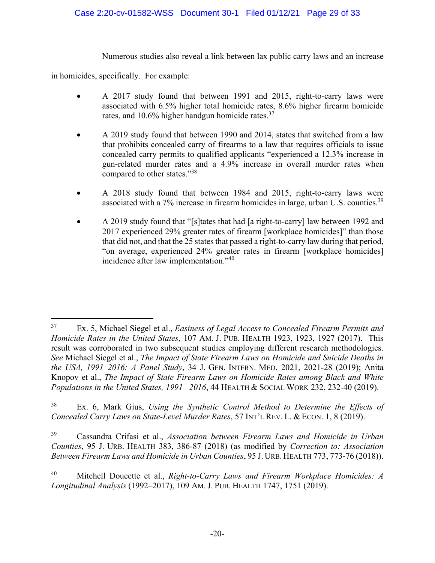Numerous studies also reveal a link between lax public carry laws and an increase

in homicides, specifically. For example:

l

- A 2017 study found that between 1991 and 2015, right-to-carry laws were associated with 6.5% higher total homicide rates, 8.6% higher firearm homicide rates, and 10.6% higher handgun homicide rates.<sup>37</sup>
- A 2019 study found that between 1990 and 2014, states that switched from a law that prohibits concealed carry of firearms to a law that requires officials to issue concealed carry permits to qualified applicants "experienced a 12.3% increase in gun-related murder rates and a 4.9% increase in overall murder rates when compared to other states."38
- A 2018 study found that between 1984 and 2015, right-to-carry laws were associated with a  $7\%$  increase in firearm homicides in large, urban U.S. counties.<sup>39</sup>
- A 2019 study found that "[s]tates that had [a right-to-carry] law between 1992 and 2017 experienced 29% greater rates of firearm [workplace homicides]" than those that did not, and that the 25 states that passed a right-to-carry law during that period, "on average, experienced 24% greater rates in firearm [workplace homicides] incidence after law implementation."40

39 Cassandra Crifasi et al., *Association between Firearm Laws and Homicide in Urban Counties*, 95 J. URB. HEALTH 383, 386-87 (2018) (as modified by *Correction to: Association Between Firearm Laws and Homicide in Urban Counties*, 95 J. URB. HEALTH 773, 773-76 (2018)).

<sup>37</sup> Ex. 5, Michael Siegel et al., *Easiness of Legal Access to Concealed Firearm Permits and Homicide Rates in the United States*, 107 AM. J. PUB. HEALTH 1923, 1923, 1927 (2017). This result was corroborated in two subsequent studies employing different research methodologies. *See* Michael Siegel et al., *The Impact of State Firearm Laws on Homicide and Suicide Deaths in the USA, 1991–2016: A Panel Study*, 34 J. GEN. INTERN. MED. 2021, 2021-28 (2019); Anita Knopov et al., *The Impact of State Firearm Laws on Homicide Rates among Black and White Populations in the United States, 1991–2016, 44 HEALTH & SOCIAL WORK 232, 232-40 (2019).* 

<sup>38</sup> Ex. 6, Mark Gius, *Using the Synthetic Control Method to Determine the Effects of Concealed Carry Laws on State-Level Murder Rates*, 57 INT'L REV. L. & ECON. 1, 8 (2019).

<sup>40</sup> Mitchell Doucette et al., *Right-to-Carry Laws and Firearm Workplace Homicides: A Longitudinal Analysis* (1992–2017), 109 AM. J. PUB. HEALTH 1747, 1751 (2019).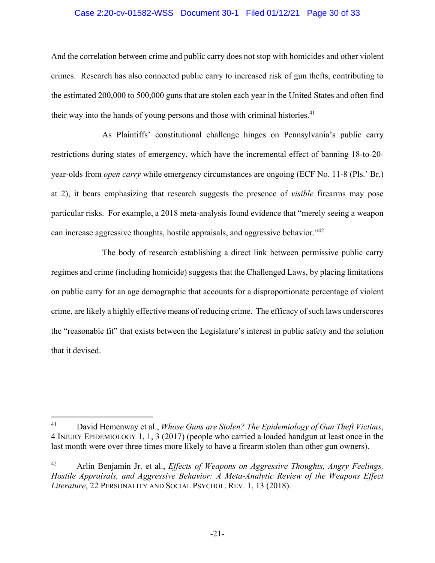### Case 2:20-cv-01582-WSS Document 30-1 Filed 01/12/21 Page 30 of 33

And the correlation between crime and public carry does not stop with homicides and other violent crimes. Research has also connected public carry to increased risk of gun thefts, contributing to the estimated 200,000 to 500,000 guns that are stolen each year in the United States and often find their way into the hands of young persons and those with criminal histories.<sup>41</sup>

As Plaintiffs' constitutional challenge hinges on Pennsylvania's public carry restrictions during states of emergency, which have the incremental effect of banning 18-to-20 year-olds from *open carry* while emergency circumstances are ongoing (ECF No. 11-8 (Pls.' Br.) at 2), it bears emphasizing that research suggests the presence of *visible* firearms may pose particular risks. For example, a 2018 meta-analysis found evidence that "merely seeing a weapon can increase aggressive thoughts, hostile appraisals, and aggressive behavior."42

The body of research establishing a direct link between permissive public carry regimes and crime (including homicide) suggests that the Challenged Laws, by placing limitations on public carry for an age demographic that accounts for a disproportionate percentage of violent crime, are likely a highly effective means of reducing crime. The efficacy of such laws underscores the "reasonable fit" that exists between the Legislature's interest in public safety and the solution that it devised.

<sup>41</sup> David Hemenway et al., *Whose Guns are Stolen? The Epidemiology of Gun Theft Victims*, 4 INJURY EPIDEMIOLOGY 1, 1, 3 (2017) (people who carried a loaded handgun at least once in the last month were over three times more likely to have a firearm stolen than other gun owners).

<sup>42</sup> Arlin Benjamin Jr. et al., *Effects of Weapons on Aggressive Thoughts, Angry Feelings, Hostile Appraisals, and Aggressive Behavior: A Meta-Analytic Review of the Weapons Effect Literature*, 22 PERSONALITY AND SOCIAL PSYCHOL. REV. 1, 13 (2018).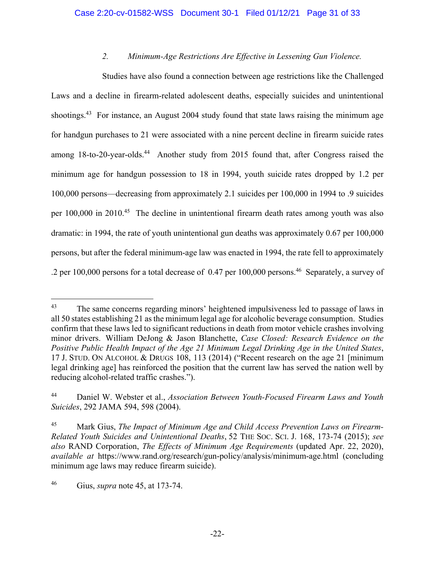## *2. Minimum-Age Restrictions Are Effective in Lessening Gun Violence.*

Studies have also found a connection between age restrictions like the Challenged Laws and a decline in firearm-related adolescent deaths, especially suicides and unintentional shootings.<sup>43</sup> For instance, an August 2004 study found that state laws raising the minimum age for handgun purchases to 21 were associated with a nine percent decline in firearm suicide rates among 18-to-20-year-olds.<sup>44</sup> Another study from 2015 found that, after Congress raised the minimum age for handgun possession to 18 in 1994, youth suicide rates dropped by 1.2 per 100,000 persons—decreasing from approximately 2.1 suicides per 100,000 in 1994 to .9 suicides per 100,000 in 2010.<sup>45</sup> The decline in unintentional firearm death rates among youth was also dramatic: in 1994, the rate of youth unintentional gun deaths was approximately 0.67 per 100,000 persons, but after the federal minimum-age law was enacted in 1994, the rate fell to approximately .2 per 100,000 persons for a total decrease of  $0.47$  per 100,000 persons.<sup>46</sup> Separately, a survey of

<sup>&</sup>lt;sup>43</sup> The same concerns regarding minors' heightened impulsiveness led to passage of laws in all 50 states establishing 21 as the minimum legal age for alcoholic beverage consumption. Studies confirm that these laws led to significant reductions in death from motor vehicle crashes involving minor drivers. William DeJong & Jason Blanchette, *Case Closed: Research Evidence on the Positive Public Health Impact of the Age 21 Minimum Legal Drinking Age in the United States*, 17 J. STUD. ON ALCOHOL & DRUGS 108, 113 (2014) ("Recent research on the age 21 [minimum legal drinking age] has reinforced the position that the current law has served the nation well by reducing alcohol-related traffic crashes.").

<sup>44</sup> Daniel W. Webster et al., *Association Between Youth-Focused Firearm Laws and Youth Suicides*, 292 JAMA 594, 598 (2004).

<sup>45</sup> Mark Gius, *The Impact of Minimum Age and Child Access Prevention Laws on Firearm-Related Youth Suicides and Unintentional Deaths*, 52 THE SOC. SCI. J. 168, 173-74 (2015); *see also* RAND Corporation, *The Effects of Minimum Age Requirements* (updated Apr. 22, 2020), *available at* https://www.rand.org/research/gun-policy/analysis/minimum-age.html (concluding minimum age laws may reduce firearm suicide).

<sup>46</sup> Gius, *supra* note 45, at 173-74.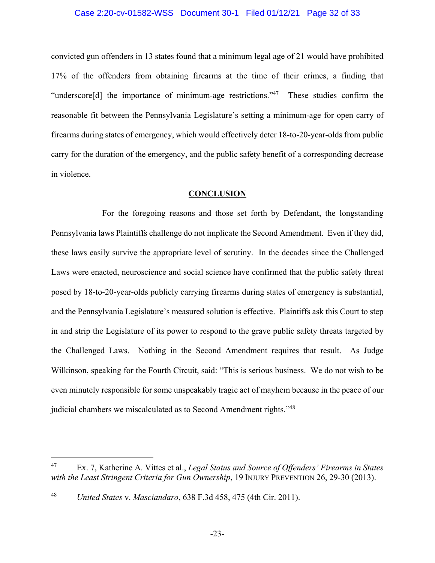### Case 2:20-cv-01582-WSS Document 30-1 Filed 01/12/21 Page 32 of 33

convicted gun offenders in 13 states found that a minimum legal age of 21 would have prohibited 17% of the offenders from obtaining firearms at the time of their crimes, a finding that "underscore[d] the importance of minimum-age restrictions."47 These studies confirm the reasonable fit between the Pennsylvania Legislature's setting a minimum-age for open carry of firearms during states of emergency, which would effectively deter 18-to-20-year-olds from public carry for the duration of the emergency, and the public safety benefit of a corresponding decrease in violence.

### **CONCLUSION**

For the foregoing reasons and those set forth by Defendant, the longstanding Pennsylvania laws Plaintiffs challenge do not implicate the Second Amendment. Even if they did, these laws easily survive the appropriate level of scrutiny. In the decades since the Challenged Laws were enacted, neuroscience and social science have confirmed that the public safety threat posed by 18-to-20-year-olds publicly carrying firearms during states of emergency is substantial, and the Pennsylvania Legislature's measured solution is effective. Plaintiffs ask this Court to step in and strip the Legislature of its power to respond to the grave public safety threats targeted by the Challenged Laws. Nothing in the Second Amendment requires that result. As Judge Wilkinson, speaking for the Fourth Circuit, said: "This is serious business. We do not wish to be even minutely responsible for some unspeakably tragic act of mayhem because in the peace of our judicial chambers we miscalculated as to Second Amendment rights."<sup>48</sup>

<sup>47</sup> 47 Ex. 7, Katherine A. Vittes et al., *Legal Status and Source of Offenders' Firearms in States with the Least Stringent Criteria for Gun Ownership*, 19 INJURY PREVENTION 26, 29-30 (2013).

<sup>48</sup> *United States* v. *Masciandaro*, 638 F.3d 458, 475 (4th Cir. 2011).